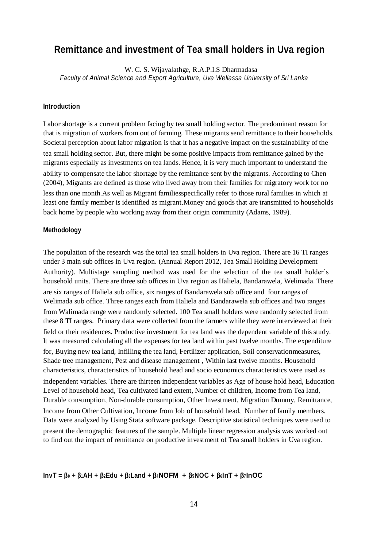# **Remittance and investment of Tea small holders in Uva region**

W. C. S. Wijayalathge, R.A.P.I.S Dharmadasa *Faculty of Animal Science and Export Agriculture, Uva Wellassa University of Sri Lanka*

#### **Introduction**

Labor shortage is a current problem facing by tea small holding sector. The predominant reason for that is migration of workers from out of farming. These migrants send remittance to their households. Societal perception about labor migration is that it has a negative impact on the sustainability of the tea small holding sector. But, there might be some positive impacts from remittance gained by the migrants especially as investments on tea lands. Hence, it is very much important to understand the ability to compensate the labor shortage by the remittance sent by the migrants. According to Chen (2004), Migrants are defined as those who lived away from their families for migratory work for no less than one month.As well as Migrant familiesspecifically refer to those rural families in which at least one family member is identified as migrant.Money and goods that are transmitted to households back home by people who working away from their origin community (Adams, 1989).

### **Methodology**

The population of the research was the total tea small holders in Uva region. There are 16 TI ranges under 3 main sub offices in Uva region. (Annual Report 2012, Tea Small Holding Development Authority). Multistage sampling method was used for the selection of the tea small holder's household units. There are three sub offices in Uva region as Haliela, Bandarawela, Welimada. There are six ranges of Haliela sub office, six ranges of Bandarawela sub office and four ranges of Welimada sub office. Three ranges each from Haliela and Bandarawela sub offices and two ranges from Walimada range were randomly selected. 100 Tea small holders were randomly selected from these 8 TI ranges. Primary data were collected from the farmers while they were interviewed at their field or their residences. Productive investment for tea land was the dependent variable of this study. It was measured calculating all the expenses for tea land within past twelve months. The expenditure for, Buying new tea land, Infilling the tea land, Fertilizer application, Soil conservationmeasures, Shade tree management, Pest and disease management , Within last twelve months. Household characteristics, characteristics of household head and socio economics characteristics were used as independent variables. There are thirteen independent variables as Age of house hold head, Education Level of household head, Tea cultivated land extent, Number of children, Income from Tea land, Durable consumption, Non-durable consumption, Other Investment, Migration Dummy, Remittance, Income from Other Cultivation, Income from Job of household head, Number of family members. Data were analyzed by Using Stata software package. Descriptive statistical techniques were used to present the demographic features of the sample. Multiple linear regression analysis was worked out to find out the impact of remittance on productive investment of Tea small holders in Uva region.

#### $InvT = \beta_0 + \beta_1 AH + \beta_2 Edu + \beta_3 Land + \beta_4 NOFM + \beta_5 NOC + \beta_6 INT + \beta_7 INOC$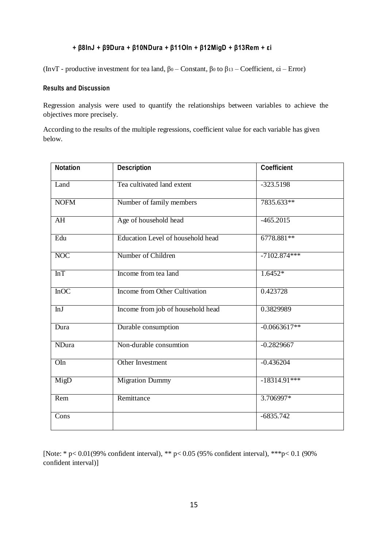## **+ β8InJ + β9Dura + β10NDura + β11OIn + β12MigD + β13Rem + εi**

(InvT - productive investment for tea land,  $\beta_0$  – Constant,  $\beta_0$  to  $\beta_{13}$  – Coefficient,  $\epsilon$ i – Error)

### **Results and Discussion**

Regression analysis were used to quantify the relationships between variables to achieve the objectives more precisely.

According to the results of the multiple regressions, coefficient value for each variable has given below.

| <b>Notation</b> | <b>Description</b>                   | <b>Coefficient</b>        |
|-----------------|--------------------------------------|---------------------------|
| Land            | Tea cultivated land extent           | $-323.5198$               |
| <b>NOFM</b>     | Number of family members             | 7835.633**                |
| AH              | Age of household head                | $-465.2015$               |
| Edu             | Education Level of household head    | 6778.881**                |
| <b>NOC</b>      | Number of Children                   | $-7\overline{102.874***}$ |
| InT             | Income from tea land                 | $1.6452*$                 |
| InOC            | <b>Income from Other Cultivation</b> | 0.423728                  |
| InJ             | Income from job of household head    | 0.3829989                 |
| Dura            | Durable consumption                  | $-0.0663617**$            |
| <b>NDura</b>    | Non-durable consumtion               | $-0.2829667$              |
| OIn             | Other Investment                     | $-0.436204$               |
| MigD            | <b>Migration Dummy</b>               | $-18314.91***$            |
| Rem             | Remittance                           | 3.706997*                 |
| Cons            |                                      | $-6835.742$               |

[Note: \* p< 0.01(99% confident interval), \*\* p< 0.05 (95% confident interval), \*\*\*p< 0.1 (90% confident interval)]